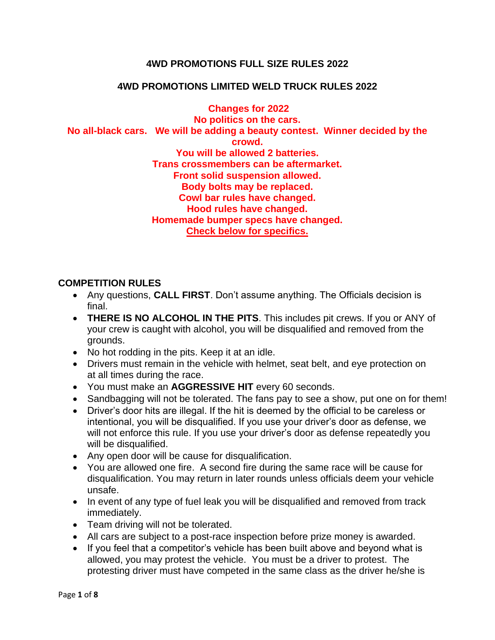### **4WD PROMOTIONS FULL SIZE RULES 2022**

### **4WD PROMOTIONS LIMITED WELD TRUCK RULES 2022**

**Changes for 2022 No politics on the cars. No all-black cars. We will be adding a beauty contest. Winner decided by the crowd. You will be allowed 2 batteries. Trans crossmembers can be aftermarket. Front solid suspension allowed. Body bolts may be replaced. Cowl bar rules have changed. Hood rules have changed. Homemade bumper specs have changed. Check below for specifics.**

#### **COMPETITION RULES**

- Any questions, **CALL FIRST**. Don't assume anything. The Officials decision is final.
- **THERE IS NO ALCOHOL IN THE PITS**. This includes pit crews. If you or ANY of your crew is caught with alcohol, you will be disqualified and removed from the grounds.
- No hot rodding in the pits. Keep it at an idle.
- Drivers must remain in the vehicle with helmet, seat belt, and eye protection on at all times during the race.
- You must make an **AGGRESSIVE HIT** every 60 seconds.
- Sandbagging will not be tolerated. The fans pay to see a show, put one on for them!
- Driver's door hits are illegal. If the hit is deemed by the official to be careless or intentional, you will be disqualified. If you use your driver's door as defense, we will not enforce this rule. If you use your driver's door as defense repeatedly you will be disqualified.
- Any open door will be cause for disqualification.
- You are allowed one fire. A second fire during the same race will be cause for disqualification. You may return in later rounds unless officials deem your vehicle unsafe.
- In event of any type of fuel leak you will be disqualified and removed from track immediately.
- Team driving will not be tolerated.
- All cars are subject to a post-race inspection before prize money is awarded.
- If you feel that a competitor's vehicle has been built above and beyond what is allowed, you may protest the vehicle. You must be a driver to protest. The protesting driver must have competed in the same class as the driver he/she is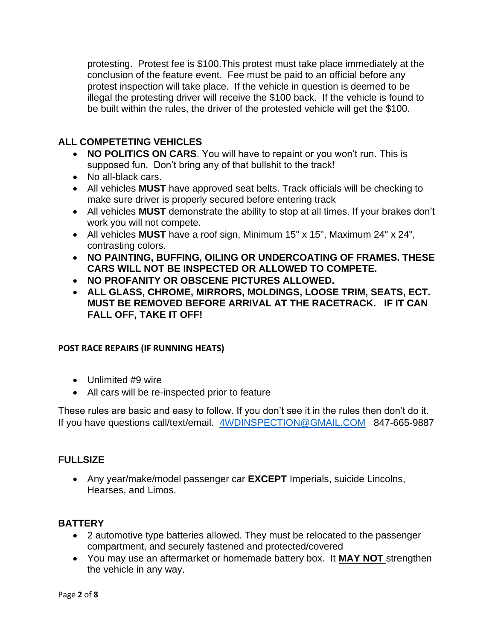protesting. Protest fee is \$100.This protest must take place immediately at the conclusion of the feature event. Fee must be paid to an official before any protest inspection will take place. If the vehicle in question is deemed to be illegal the protesting driver will receive the \$100 back. If the vehicle is found to be built within the rules, the driver of the protested vehicle will get the \$100.

# **ALL COMPETETING VEHICLES**

- **NO POLITICS ON CARS**. You will have to repaint or you won't run. This is supposed fun. Don't bring any of that bullshit to the track!
- No all-black cars.
- All vehicles **MUST** have approved seat belts. Track officials will be checking to make sure driver is properly secured before entering track
- All vehicles **MUST** demonstrate the ability to stop at all times. If your brakes don't work you will not compete.
- All vehicles **MUST** have a roof sign, Minimum 15" x 15", Maximum 24" x 24", contrasting colors.
- **NO PAINTING, BUFFING, OILING OR UNDERCOATING OF FRAMES. THESE CARS WILL NOT BE INSPECTED OR ALLOWED TO COMPETE.**
- **NO PROFANITY OR OBSCENE PICTURES ALLOWED.**
- **ALL GLASS, CHROME, MIRRORS, MOLDINGS, LOOSE TRIM, SEATS, ECT. MUST BE REMOVED BEFORE ARRIVAL AT THE RACETRACK. IF IT CAN FALL OFF, TAKE IT OFF!**

## **POST RACE REPAIRS (IF RUNNING HEATS)**

- Unlimited #9 wire
- All cars will be re-inspected prior to feature

These rules are basic and easy to follow. If you don't see it in the rules then don't do it. If you have questions call/text/email. [4WDINSPECTION@GMAIL.COM](mailto:4WDINSPECTION@GMAIL.COM) 847-665-9887

## **FULLSIZE**

• Any year/make/model passenger car **EXCEPT** Imperials, suicide Lincolns, Hearses, and Limos.

## **BATTERY**

- 2 automotive type batteries allowed. They must be relocated to the passenger compartment, and securely fastened and protected/covered
- You may use an aftermarket or homemade battery box. It **MAY NOT** strengthen the vehicle in any way.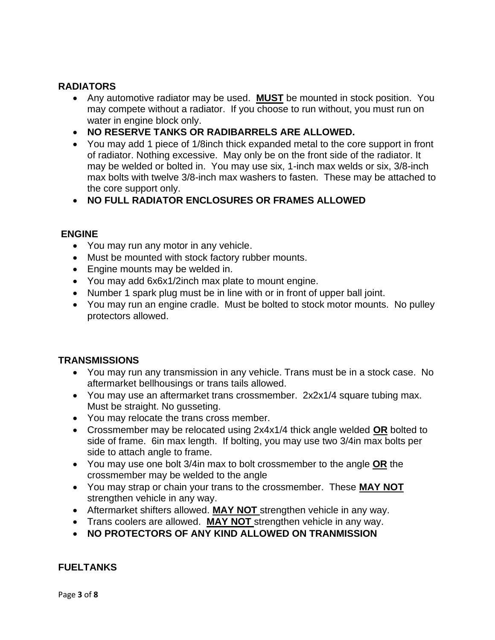## **RADIATORS**

- Any automotive radiator may be used. **MUST** be mounted in stock position. You may compete without a radiator. If you choose to run without, you must run on water in engine block only.
- **NO RESERVE TANKS OR RADIBARRELS ARE ALLOWED.**
- You may add 1 piece of 1/8inch thick expanded metal to the core support in front of radiator. Nothing excessive. May only be on the front side of the radiator. It may be welded or bolted in. You may use six, 1-inch max welds or six, 3/8-inch max bolts with twelve 3/8-inch max washers to fasten. These may be attached to the core support only.
- **NO FULL RADIATOR ENCLOSURES OR FRAMES ALLOWED**

### **ENGINE**

- You may run any motor in any vehicle.
- Must be mounted with stock factory rubber mounts.
- Engine mounts may be welded in.
- You may add 6x6x1/2inch max plate to mount engine.
- Number 1 spark plug must be in line with or in front of upper ball joint.
- You may run an engine cradle. Must be bolted to stock motor mounts. No pulley protectors allowed.

#### **TRANSMISSIONS**

- You may run any transmission in any vehicle. Trans must be in a stock case. No aftermarket bellhousings or trans tails allowed.
- You may use an aftermarket trans crossmember. 2x2x1/4 square tubing max. Must be straight. No gusseting.
- You may relocate the trans cross member.
- Crossmember may be relocated using 2x4x1/4 thick angle welded **OR** bolted to side of frame. 6in max length. If bolting, you may use two 3/4in max bolts per side to attach angle to frame.
- You may use one bolt 3/4in max to bolt crossmember to the angle **OR** the crossmember may be welded to the angle
- You may strap or chain your trans to the crossmember. These **MAY NOT**  strengthen vehicle in any way.
- Aftermarket shifters allowed. **MAY NOT** strengthen vehicle in any way.
- Trans coolers are allowed. **MAY NOT** strengthen vehicle in any way.
- **NO PROTECTORS OF ANY KIND ALLOWED ON TRANMISSION**

#### **FUELTANKS**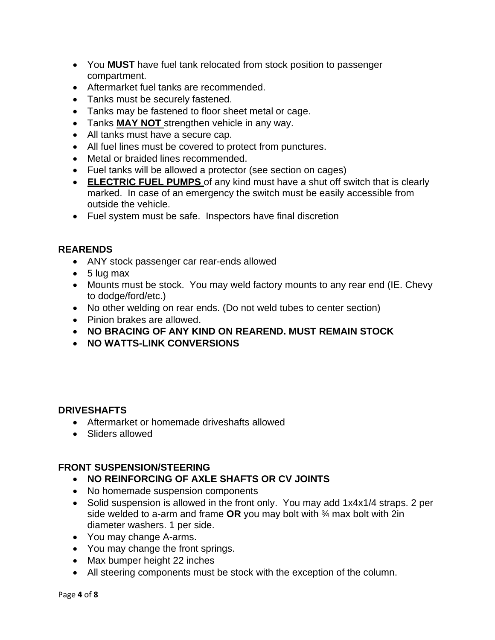- You **MUST** have fuel tank relocated from stock position to passenger compartment.
- Aftermarket fuel tanks are recommended.
- Tanks must be securely fastened.
- Tanks may be fastened to floor sheet metal or cage.
- Tanks **MAY NOT** strengthen vehicle in any way.
- All tanks must have a secure cap.
- All fuel lines must be covered to protect from punctures.
- Metal or braided lines recommended.
- Fuel tanks will be allowed a protector (see section on cages)
- **ELECTRIC FUEL PUMPS** of any kind must have a shut off switch that is clearly marked. In case of an emergency the switch must be easily accessible from outside the vehicle.
- Fuel system must be safe. Inspectors have final discretion

### **REARENDS**

- ANY stock passenger car rear-ends allowed
- $\bullet$  5 lug max
- Mounts must be stock. You may weld factory mounts to any rear end (IE. Chevy to dodge/ford/etc.)
- No other welding on rear ends. (Do not weld tubes to center section)
- Pinion brakes are allowed.
- **NO BRACING OF ANY KIND ON REAREND. MUST REMAIN STOCK**
- **NO WATTS-LINK CONVERSIONS**

## **DRIVESHAFTS**

- Aftermarket or homemade driveshafts allowed
- Sliders allowed

#### **FRONT SUSPENSION/STEERING**

- **NO REINFORCING OF AXLE SHAFTS OR CV JOINTS**
- No homemade suspension components
- Solid suspension is allowed in the front only. You may add 1x4x1/4 straps. 2 per side welded to a-arm and frame **OR** you may bolt with ¾ max bolt with 2in diameter washers. 1 per side.
- You may change A-arms.
- You may change the front springs.
- Max bumper height 22 inches
- All steering components must be stock with the exception of the column.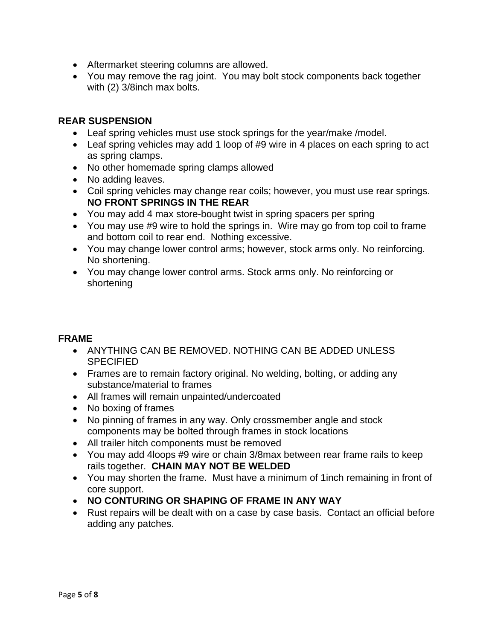- Aftermarket steering columns are allowed.
- You may remove the rag joint. You may bolt stock components back together with (2) 3/8inch max bolts.

### **REAR SUSPENSION**

- Leaf spring vehicles must use stock springs for the year/make /model.
- Leaf spring vehicles may add 1 loop of #9 wire in 4 places on each spring to act as spring clamps.
- No other homemade spring clamps allowed
- No adding leaves.
- Coil spring vehicles may change rear coils; however, you must use rear springs. **NO FRONT SPRINGS IN THE REAR**
- You may add 4 max store-bought twist in spring spacers per spring
- You may use #9 wire to hold the springs in. Wire may go from top coil to frame and bottom coil to rear end. Nothing excessive.
- You may change lower control arms; however, stock arms only. No reinforcing. No shortening.
- You may change lower control arms. Stock arms only. No reinforcing or shortening

#### **FRAME**

- ANYTHING CAN BE REMOVED. NOTHING CAN BE ADDED UNLESS **SPECIFIED**
- Frames are to remain factory original. No welding, bolting, or adding any substance/material to frames
- All frames will remain unpainted/undercoated
- No boxing of frames
- No pinning of frames in any way. Only crossmember angle and stock components may be bolted through frames in stock locations
- All trailer hitch components must be removed
- You may add 4loops #9 wire or chain 3/8max between rear frame rails to keep rails together. **CHAIN MAY NOT BE WELDED**
- You may shorten the frame. Must have a minimum of 1inch remaining in front of core support.
- **NO CONTURING OR SHAPING OF FRAME IN ANY WAY**
- Rust repairs will be dealt with on a case by case basis. Contact an official before adding any patches.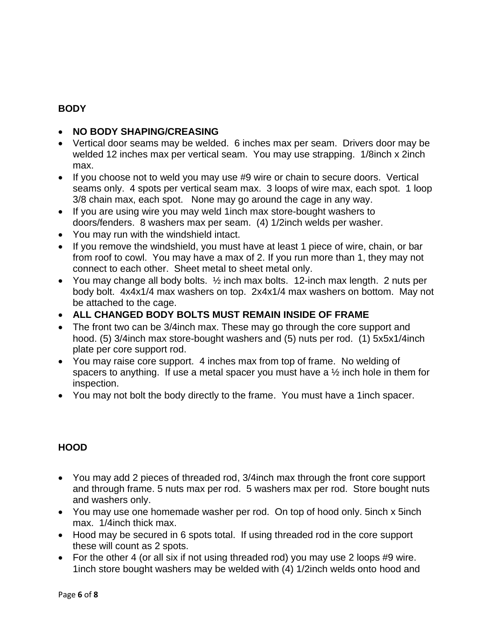# **BODY**

## • **NO BODY SHAPING/CREASING**

- Vertical door seams may be welded. 6 inches max per seam. Drivers door may be welded 12 inches max per vertical seam. You may use strapping. 1/8inch x 2inch max.
- If you choose not to weld you may use #9 wire or chain to secure doors. Vertical seams only. 4 spots per vertical seam max. 3 loops of wire max, each spot. 1 loop 3/8 chain max, each spot. None may go around the cage in any way.
- If you are using wire you may weld 1inch max store-bought washers to doors/fenders. 8 washers max per seam. (4) 1/2inch welds per washer.
- You may run with the windshield intact.
- If you remove the windshield, you must have at least 1 piece of wire, chain, or bar from roof to cowl. You may have a max of 2. If you run more than 1, they may not connect to each other. Sheet metal to sheet metal only.
- You may change all body bolts. ½ inch max bolts. 12-inch max length. 2 nuts per body bolt. 4x4x1/4 max washers on top. 2x4x1/4 max washers on bottom. May not be attached to the cage.
- **ALL CHANGED BODY BOLTS MUST REMAIN INSIDE OF FRAME**
- The front two can be 3/4 inch max. These may go through the core support and hood. (5) 3/4inch max store-bought washers and (5) nuts per rod. (1) 5x5x1/4inch plate per core support rod.
- You may raise core support. 4 inches max from top of frame. No welding of spacers to anything. If use a metal spacer you must have a ½ inch hole in them for inspection.
- You may not bolt the body directly to the frame. You must have a 1inch spacer.

## **HOOD**

- You may add 2 pieces of threaded rod, 3/4inch max through the front core support and through frame. 5 nuts max per rod. 5 washers max per rod. Store bought nuts and washers only.
- You may use one homemade washer per rod. On top of hood only. 5inch x 5inch max. 1/4inch thick max.
- Hood may be secured in 6 spots total. If using threaded rod in the core support these will count as 2 spots.
- For the other 4 (or all six if not using threaded rod) you may use 2 loops #9 wire. 1inch store bought washers may be welded with (4) 1/2inch welds onto hood and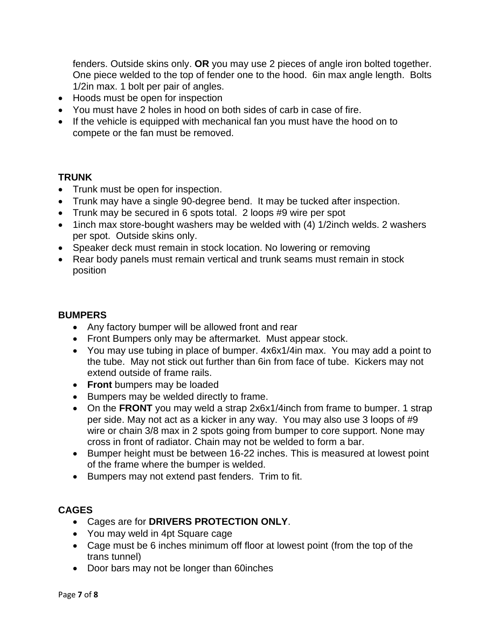fenders. Outside skins only. **OR** you may use 2 pieces of angle iron bolted together. One piece welded to the top of fender one to the hood. 6in max angle length. Bolts 1/2in max. 1 bolt per pair of angles.

- Hoods must be open for inspection
- You must have 2 holes in hood on both sides of carb in case of fire.
- If the vehicle is equipped with mechanical fan you must have the hood on to compete or the fan must be removed.

#### **TRUNK**

- Trunk must be open for inspection.
- Trunk may have a single 90-degree bend. It may be tucked after inspection.
- Trunk may be secured in 6 spots total. 2 loops #9 wire per spot
- 1inch max store-bought washers may be welded with (4) 1/2inch welds. 2 washers per spot. Outside skins only.
- Speaker deck must remain in stock location. No lowering or removing
- Rear body panels must remain vertical and trunk seams must remain in stock position

### **BUMPERS**

- Any factory bumper will be allowed front and rear
- Front Bumpers only may be aftermarket. Must appear stock.
- You may use tubing in place of bumper. 4x6x1/4in max. You may add a point to the tube. May not stick out further than 6in from face of tube. Kickers may not extend outside of frame rails.
- **Front** bumpers may be loaded
- Bumpers may be welded directly to frame.
- On the **FRONT** you may weld a strap 2x6x1/4inch from frame to bumper. 1 strap per side. May not act as a kicker in any way. You may also use 3 loops of #9 wire or chain 3/8 max in 2 spots going from bumper to core support. None may cross in front of radiator. Chain may not be welded to form a bar.
- Bumper height must be between 16-22 inches. This is measured at lowest point of the frame where the bumper is welded.
- Bumpers may not extend past fenders. Trim to fit.

## **CAGES**

- Cages are for **DRIVERS PROTECTION ONLY**.
- You may weld in 4pt Square cage
- Cage must be 6 inches minimum off floor at lowest point (from the top of the trans tunnel)
- Door bars may not be longer than 60inches